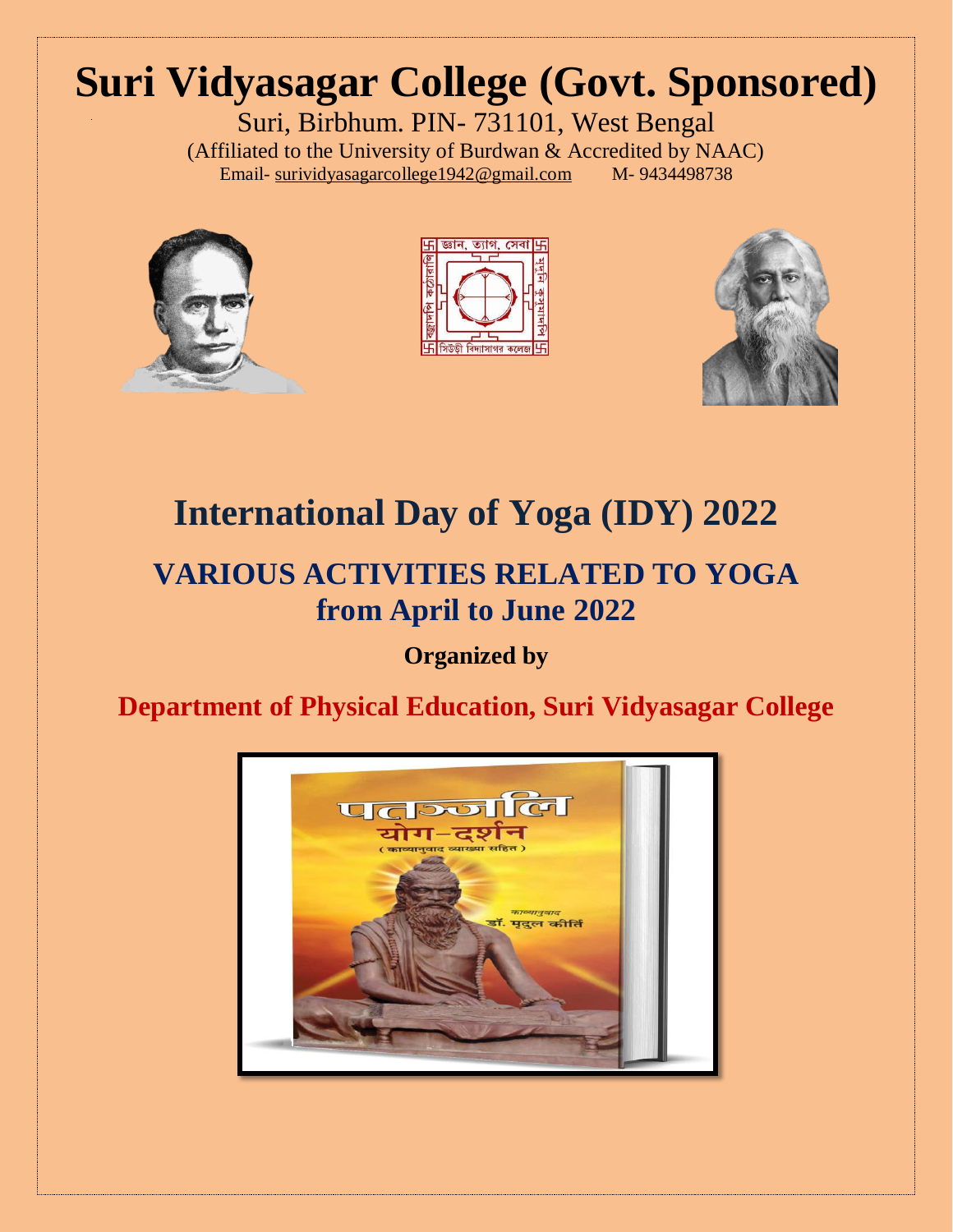# **Suri Vidyasagar College (Govt. Sponsored)**

Suri, Birbhum. PIN- 731101, West Bengal (Affiliated to the University of Burdwan & Accredited by NAAC)<br>Email-surividyasagarcollege1942@gmail.com M-9434498738 Email- [surividyasagarcollege1942@gmail.com](mailto:surividyasagarcollege1942@gmail.com)







## **International Day of Yoga (IDY) 2022**

### **VARIOUS ACTIVITIES RELATED TO YOGA from April to June 2022**

**Organized by**

#### **Department of Physical Education, Suri Vidyasagar College**

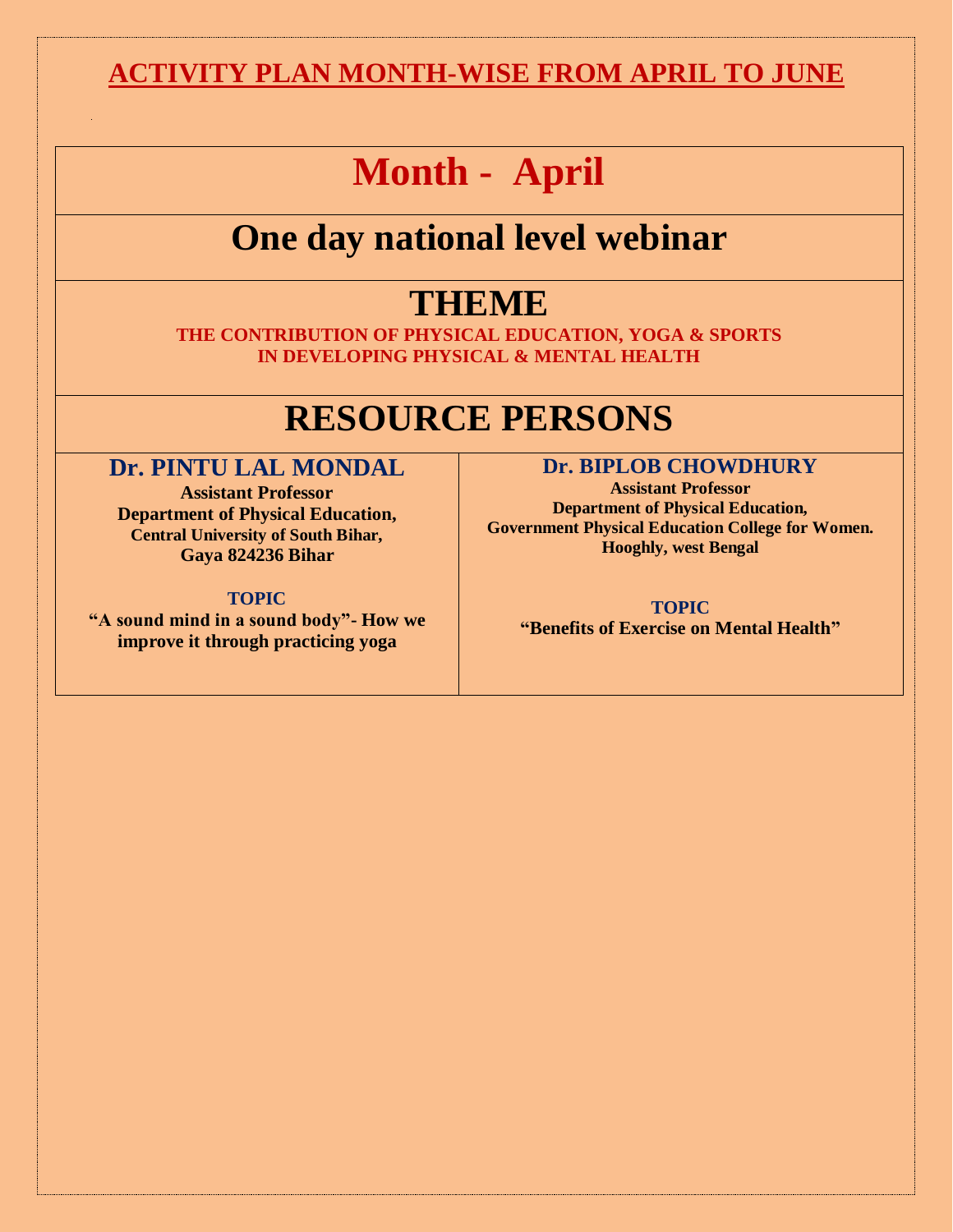#### **ACTIVITY PLAN MONTH-WISE FROM APRIL TO JUNE**

## **Month - April**

## **One day national level webinar**

### **THEME**

**THE CONTRIBUTION OF PHYSICAL EDUCATION, YOGA & SPORTS IN DEVELOPING PHYSICAL & MENTAL HEALTH**

## **RESOURCE PERSONS**

#### **Dr. PINTU LAL MONDAL**

**Assistant Professor Department of Physical Education, Central University of South Bihar, Gaya 824236 Bihar**

**TOPIC "A sound mind in a sound body"- How we improve it through practicing yoga**

#### **Dr. BIPLOB CHOWDHURY**

**Assistant Professor Department of Physical Education, Government Physical Education College for Women. Hooghly, west Bengal**

**TOPIC "Benefits of Exercise on Mental Health"**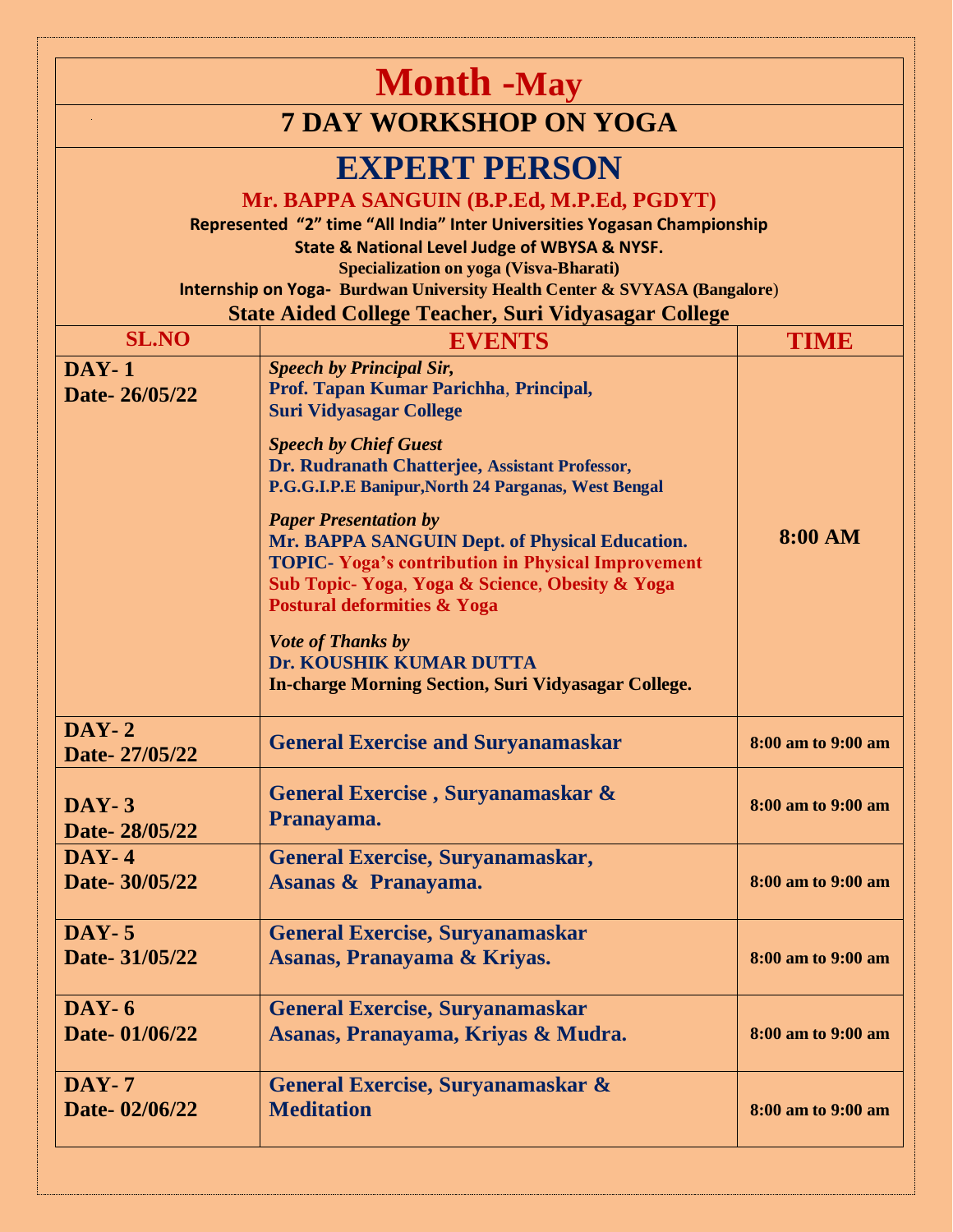|                                                                                                                                                                                                                                                                                                                                                                                                                       | <b>Month</b> -May                                                                                                                                                                                                                                                                                                                                                                                                                                                                                                                                                                                                     |                    |
|-----------------------------------------------------------------------------------------------------------------------------------------------------------------------------------------------------------------------------------------------------------------------------------------------------------------------------------------------------------------------------------------------------------------------|-----------------------------------------------------------------------------------------------------------------------------------------------------------------------------------------------------------------------------------------------------------------------------------------------------------------------------------------------------------------------------------------------------------------------------------------------------------------------------------------------------------------------------------------------------------------------------------------------------------------------|--------------------|
|                                                                                                                                                                                                                                                                                                                                                                                                                       | <b>7 DAY WORKSHOP ON YOGA</b>                                                                                                                                                                                                                                                                                                                                                                                                                                                                                                                                                                                         |                    |
| <b>EXPERT PERSON</b><br>Mr. BAPPA SANGUIN (B.P.Ed, M.P.Ed, PGDYT)<br>Represented "2" time "All India" Inter Universities Yogasan Championship<br><b>State &amp; National Level Judge of WBYSA &amp; NYSF.</b><br><b>Specialization on yoga (Visva-Bharati)</b><br><b>Internship on Yoga- Burdwan University Health Center &amp; SVYASA (Bangalore)</b><br><b>State Aided College Teacher, Suri Vidyasagar College</b> |                                                                                                                                                                                                                                                                                                                                                                                                                                                                                                                                                                                                                       |                    |
| <b>SL.NO</b>                                                                                                                                                                                                                                                                                                                                                                                                          | <b>EVENTS</b>                                                                                                                                                                                                                                                                                                                                                                                                                                                                                                                                                                                                         | <b>TIME</b>        |
| $DAY-1$<br>Date-26/05/22                                                                                                                                                                                                                                                                                                                                                                                              | <b>Speech by Principal Sir,</b><br>Prof. Tapan Kumar Parichha, Principal,<br><b>Suri Vidyasagar College</b><br><b>Speech by Chief Guest</b><br>Dr. Rudranath Chatterjee, Assistant Professor,<br>P.G.G.I.P.E Banipur, North 24 Parganas, West Bengal<br><b>Paper Presentation by</b><br>Mr. BAPPA SANGUIN Dept. of Physical Education.<br><b>TOPIC- Yoga's contribution in Physical Improvement</b><br>Sub Topic- Yoga, Yoga & Science, Obesity & Yoga<br><b>Postural deformities &amp; Yoga</b><br><b>Vote of Thanks by</b><br>Dr. KOUSHIK KUMAR DUTTA<br><b>In-charge Morning Section, Suri Vidyasagar College.</b> | <b>8:00 AM</b>     |
| $DAY-2$<br>Date-27/05/22                                                                                                                                                                                                                                                                                                                                                                                              | <b>General Exercise and Suryanamaskar</b>                                                                                                                                                                                                                                                                                                                                                                                                                                                                                                                                                                             | 8:00 am to 9:00 am |
| $DAY-3$<br>Date-28/05/22                                                                                                                                                                                                                                                                                                                                                                                              | General Exercise, Suryanamaskar &<br>Pranayama.                                                                                                                                                                                                                                                                                                                                                                                                                                                                                                                                                                       | 8:00 am to 9:00 am |
| $DAY-4$<br>Date- 30/05/22                                                                                                                                                                                                                                                                                                                                                                                             | General Exercise, Suryanamaskar,<br>Asanas & Pranayama.                                                                                                                                                                                                                                                                                                                                                                                                                                                                                                                                                               | 8:00 am to 9:00 am |
| $DAY-5$<br>Date- 31/05/22                                                                                                                                                                                                                                                                                                                                                                                             | <b>General Exercise, Suryanamaskar</b><br>Asanas, Pranayama & Kriyas.                                                                                                                                                                                                                                                                                                                                                                                                                                                                                                                                                 | 8:00 am to 9:00 am |
| $DAY-6$<br>Date-01/06/22                                                                                                                                                                                                                                                                                                                                                                                              | <b>General Exercise, Suryanamaskar</b><br>Asanas, Pranayama, Kriyas & Mudra.                                                                                                                                                                                                                                                                                                                                                                                                                                                                                                                                          | 8:00 am to 9:00 am |
| $DAY-7$<br>Date-02/06/22                                                                                                                                                                                                                                                                                                                                                                                              | General Exercise, Suryanamaskar &<br><b>Meditation</b>                                                                                                                                                                                                                                                                                                                                                                                                                                                                                                                                                                | 8:00 am to 9:00 am |